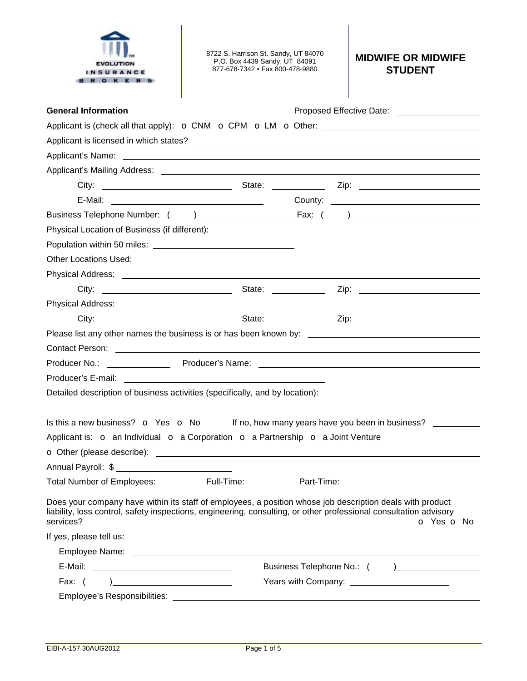| $\circ$                                                                                                                                                                                                                                     | 8722 S. Harrison St. Sandy, UT 84070<br>P.O. Box 4439 Sandy, UT 84091<br>877-678-7342 • Fax 800-478-9880 |  | <b>MIDWIFE OR MIDWIFE</b><br><b>STUDENT</b>      |
|---------------------------------------------------------------------------------------------------------------------------------------------------------------------------------------------------------------------------------------------|----------------------------------------------------------------------------------------------------------|--|--------------------------------------------------|
| <b>General Information</b>                                                                                                                                                                                                                  |                                                                                                          |  | Proposed Effective Date: ____________________    |
|                                                                                                                                                                                                                                             |                                                                                                          |  |                                                  |
|                                                                                                                                                                                                                                             |                                                                                                          |  |                                                  |
|                                                                                                                                                                                                                                             |                                                                                                          |  |                                                  |
|                                                                                                                                                                                                                                             |                                                                                                          |  |                                                  |
| City:                                                                                                                                                                                                                                       |                                                                                                          |  |                                                  |
|                                                                                                                                                                                                                                             |                                                                                                          |  |                                                  |
|                                                                                                                                                                                                                                             |                                                                                                          |  |                                                  |
|                                                                                                                                                                                                                                             |                                                                                                          |  |                                                  |
|                                                                                                                                                                                                                                             |                                                                                                          |  |                                                  |
| Other Locations Used:                                                                                                                                                                                                                       |                                                                                                          |  |                                                  |
|                                                                                                                                                                                                                                             |                                                                                                          |  |                                                  |
|                                                                                                                                                                                                                                             |                                                                                                          |  |                                                  |
|                                                                                                                                                                                                                                             |                                                                                                          |  |                                                  |
|                                                                                                                                                                                                                                             |                                                                                                          |  |                                                  |
|                                                                                                                                                                                                                                             |                                                                                                          |  |                                                  |
|                                                                                                                                                                                                                                             |                                                                                                          |  |                                                  |
| Producer No.: <u>_______________________</u>                                                                                                                                                                                                |                                                                                                          |  |                                                  |
| Producer's E-mail:                                                                                                                                                                                                                          | <u> 1989 - John Stein, amerikansk politiker (</u> † 1920)                                                |  |                                                  |
| Detailed description of business activities (specifically, and by location): ______________________                                                                                                                                         |                                                                                                          |  |                                                  |
|                                                                                                                                                                                                                                             |                                                                                                          |  |                                                  |
| Is this a new business? o Yes o No                                                                                                                                                                                                          |                                                                                                          |  | If no, how many years have you been in business? |
| Applicant is: $\circ$ an Individual $\circ$ a Corporation $\circ$ a Partnership $\circ$ a Joint Venture                                                                                                                                     |                                                                                                          |  |                                                  |
|                                                                                                                                                                                                                                             |                                                                                                          |  |                                                  |
| Annual Payroll: \$                                                                                                                                                                                                                          |                                                                                                          |  |                                                  |
| Total Number of Employees: ____________ Full-Time: ____________ Part-Time: __________                                                                                                                                                       |                                                                                                          |  |                                                  |
| Does your company have within its staff of employees, a position whose job description deals with product<br>liability, loss control, safety inspections, engineering, consulting, or other professional consultation advisory<br>services? |                                                                                                          |  | o Yes o No                                       |
| If yes, please tell us:                                                                                                                                                                                                                     |                                                                                                          |  |                                                  |
|                                                                                                                                                                                                                                             |                                                                                                          |  |                                                  |
|                                                                                                                                                                                                                                             |                                                                                                          |  |                                                  |
| Fax: (                                                                                                                                                                                                                                      |                                                                                                          |  |                                                  |
|                                                                                                                                                                                                                                             |                                                                                                          |  |                                                  |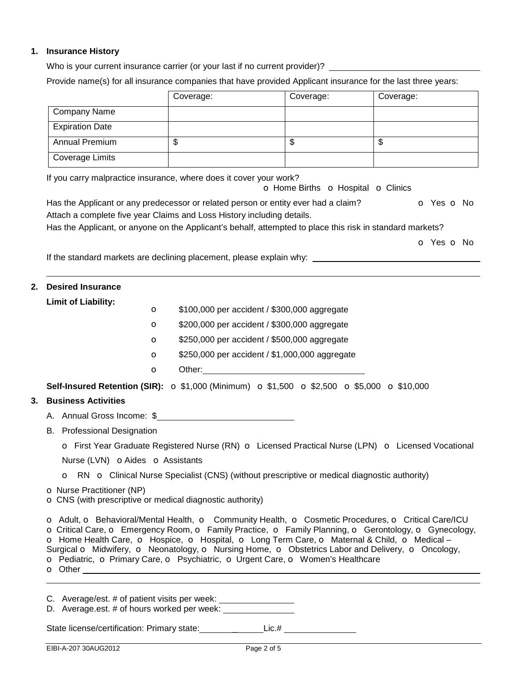# **1. Insurance History**

Who is your current insurance carrier (or your last if no current provider)? Provide name(s) for all insurance companies that have provided Applicant insurance for the last three years:

|                                                                                                                                   |             | Coverage: | Coverage:                                                                                                                                                                                                                      | Coverage:                                                                                                                                                                                                                                                                                                         |  |
|-----------------------------------------------------------------------------------------------------------------------------------|-------------|-----------|--------------------------------------------------------------------------------------------------------------------------------------------------------------------------------------------------------------------------------|-------------------------------------------------------------------------------------------------------------------------------------------------------------------------------------------------------------------------------------------------------------------------------------------------------------------|--|
| <b>Company Name</b>                                                                                                               |             |           |                                                                                                                                                                                                                                |                                                                                                                                                                                                                                                                                                                   |  |
| <b>Expiration Date</b>                                                                                                            |             |           |                                                                                                                                                                                                                                |                                                                                                                                                                                                                                                                                                                   |  |
| Annual Premium                                                                                                                    |             | \$        | $\overline{\mathcal{S}}$                                                                                                                                                                                                       | \$                                                                                                                                                                                                                                                                                                                |  |
| <b>Coverage Limits</b>                                                                                                            |             |           |                                                                                                                                                                                                                                |                                                                                                                                                                                                                                                                                                                   |  |
| If you carry malpractice insurance, where does it cover your work?                                                                |             |           | o Home Births o Hospital o Clinics                                                                                                                                                                                             |                                                                                                                                                                                                                                                                                                                   |  |
|                                                                                                                                   |             |           | Has the Applicant or any predecessor or related person or entity ever had a claim?                                                                                                                                             | o Yes o No                                                                                                                                                                                                                                                                                                        |  |
| Attach a complete five year Claims and Loss History including details.                                                            |             |           |                                                                                                                                                                                                                                |                                                                                                                                                                                                                                                                                                                   |  |
|                                                                                                                                   |             |           | Has the Applicant, or anyone on the Applicant's behalf, attempted to place this risk in standard markets?                                                                                                                      |                                                                                                                                                                                                                                                                                                                   |  |
|                                                                                                                                   |             |           |                                                                                                                                                                                                                                | <b>o</b> Yes <b>o</b> No                                                                                                                                                                                                                                                                                          |  |
|                                                                                                                                   |             |           | If the standard markets are declining placement, please explain why: __________________                                                                                                                                        |                                                                                                                                                                                                                                                                                                                   |  |
|                                                                                                                                   |             |           |                                                                                                                                                                                                                                |                                                                                                                                                                                                                                                                                                                   |  |
| 2.<br><b>Desired Insurance</b>                                                                                                    |             |           |                                                                                                                                                                                                                                |                                                                                                                                                                                                                                                                                                                   |  |
| <b>Limit of Liability:</b>                                                                                                        | $\circ$     |           | \$100,000 per accident / \$300,000 aggregate                                                                                                                                                                                   |                                                                                                                                                                                                                                                                                                                   |  |
|                                                                                                                                   | $\circ$     |           | \$200,000 per accident / \$300,000 aggregate                                                                                                                                                                                   |                                                                                                                                                                                                                                                                                                                   |  |
|                                                                                                                                   | $\mathbf o$ |           | \$250,000 per accident / \$500,000 aggregate                                                                                                                                                                                   |                                                                                                                                                                                                                                                                                                                   |  |
|                                                                                                                                   | O           |           | \$250,000 per accident / \$1,000,000 aggregate                                                                                                                                                                                 |                                                                                                                                                                                                                                                                                                                   |  |
|                                                                                                                                   | $\circ$     |           | Other: when the contract of the contract of the contract of the contract of the contract of the contract of the contract of the contract of the contract of the contract of the contract of the contract of the contract of th |                                                                                                                                                                                                                                                                                                                   |  |
|                                                                                                                                   |             |           |                                                                                                                                                                                                                                |                                                                                                                                                                                                                                                                                                                   |  |
|                                                                                                                                   |             |           | <b>Self-Insured Retention (SIR):</b> $\circ$ \$1,000 (Minimum) $\circ$ \$1,500 $\circ$ \$2,500 $\circ$ \$5,000 $\circ$ \$10,000                                                                                                |                                                                                                                                                                                                                                                                                                                   |  |
| <b>Business Activities</b><br>3.                                                                                                  |             |           |                                                                                                                                                                                                                                |                                                                                                                                                                                                                                                                                                                   |  |
| A. Annual Gross Income: \$                                                                                                        |             |           |                                                                                                                                                                                                                                |                                                                                                                                                                                                                                                                                                                   |  |
| <b>B.</b> Professional Designation                                                                                                |             |           |                                                                                                                                                                                                                                |                                                                                                                                                                                                                                                                                                                   |  |
|                                                                                                                                   |             |           |                                                                                                                                                                                                                                | O First Year Graduate Registered Nurse (RN) O Licensed Practical Nurse (LPN) O Licensed Vocational                                                                                                                                                                                                                |  |
| Nurse (LVN) <b>OAides O</b> Assistants                                                                                            |             |           |                                                                                                                                                                                                                                |                                                                                                                                                                                                                                                                                                                   |  |
|                                                                                                                                   |             |           | <b>o</b> RN <b>o</b> Clinical Nurse Specialist (CNS) (without prescriptive or medical diagnostic authority)                                                                                                                    |                                                                                                                                                                                                                                                                                                                   |  |
| <b>O</b> Nurse Practitioner (NP)<br>O CNS (with prescriptive or medical diagnostic authority)                                     |             |           |                                                                                                                                                                                                                                |                                                                                                                                                                                                                                                                                                                   |  |
|                                                                                                                                   |             |           | o Home Health Care, o Hospice, o Hospital, o Long Term Care, o Maternal & Child, o Medical -<br>o Pediatric, o Primary Care, o Psychiatric, o Urgent Care, o Women's Healthcare                                                | o Adult, o Behavioral/Mental Health, o Community Health, o Cosmetic Procedures, o Critical Care/ICU<br>o Critical Care, o Emergency Room, o Family Practice, o Family Planning, o Gerontology, o Gynecology,<br>Surgical o Midwifery, o Neonatology, o Nursing Home, o Obstetrics Labor and Delivery, o Oncology, |  |
| C. Average/est. # of patient visits per week: ___________________<br>D. Average.est. # of hours worked per week: ________________ |             |           |                                                                                                                                                                                                                                |                                                                                                                                                                                                                                                                                                                   |  |
|                                                                                                                                   |             |           | State license/certification: Primary state: __________Lic.# ____________________                                                                                                                                               |                                                                                                                                                                                                                                                                                                                   |  |
|                                                                                                                                   |             |           |                                                                                                                                                                                                                                |                                                                                                                                                                                                                                                                                                                   |  |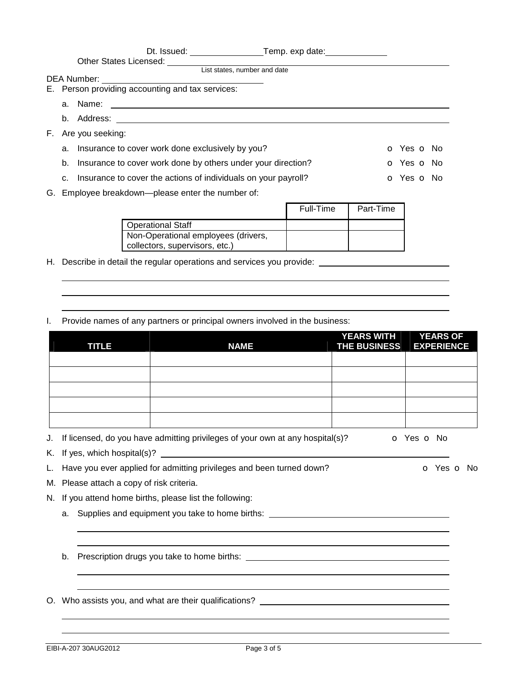|    |    | Other States Licensed:                                            |                              |           |            |  |
|----|----|-------------------------------------------------------------------|------------------------------|-----------|------------|--|
|    |    |                                                                   | List states, number and date |           |            |  |
|    |    | <b>DEA Number:</b>                                                |                              |           |            |  |
|    |    | E. Person providing accounting and tax services:                  |                              |           |            |  |
|    |    | a. Name:                                                          |                              |           |            |  |
|    |    | b. Address:                                                       |                              |           |            |  |
| F. |    | Are you seeking:                                                  |                              |           |            |  |
|    |    | a. Insurance to cover work done exclusively by you?               |                              |           | o Yes o No |  |
|    | b. | Insurance to cover work done by others under your direction?      |                              |           | o Yes o No |  |
|    |    | c. Insurance to cover the actions of individuals on your payroll? |                              |           | o Yes o No |  |
|    |    | G. Employee breakdown—please enter the number of:                 |                              |           |            |  |
|    |    |                                                                   |                              | Full-Time | Part-Time  |  |

|                                     | Full-Time | Part-Time |
|-------------------------------------|-----------|-----------|
| Operational Staff                   |           |           |
| Non-Operational employees (drivers, |           |           |
| collectors, supervisors, etc.)      |           |           |

H. Describe in detail the regular operations and services you provide:

I. Provide names of any partners or principal owners involved in the business:

|    |    | <b>TITLE</b>                           | <b>NAME</b>                                                                      | <b>YEARS WITH</b><br><b>THE BUSINESS</b> | <b>YEARS OF</b><br><b>EXPERIENCE</b> |  |
|----|----|----------------------------------------|----------------------------------------------------------------------------------|------------------------------------------|--------------------------------------|--|
|    |    |                                        |                                                                                  |                                          |                                      |  |
|    |    |                                        |                                                                                  |                                          |                                      |  |
|    |    |                                        |                                                                                  |                                          |                                      |  |
|    |    |                                        |                                                                                  |                                          |                                      |  |
|    |    |                                        |                                                                                  |                                          |                                      |  |
| J. |    |                                        | If licensed, do you have admitting privileges of your own at any hospital(s)?    |                                          | o Yes o No                           |  |
| K. |    |                                        |                                                                                  |                                          |                                      |  |
| L. |    |                                        | Have you ever applied for admitting privileges and been turned down?             |                                          | o Yes o No                           |  |
| М. |    | Please attach a copy of risk criteria. |                                                                                  |                                          |                                      |  |
| N. |    |                                        | If you attend home births, please list the following:                            |                                          |                                      |  |
|    | a. |                                        | Supplies and equipment you take to home births: ________________________________ |                                          |                                      |  |
|    | b. |                                        |                                                                                  |                                          |                                      |  |
|    |    |                                        |                                                                                  |                                          |                                      |  |
| O. |    |                                        |                                                                                  |                                          |                                      |  |
|    |    |                                        |                                                                                  |                                          |                                      |  |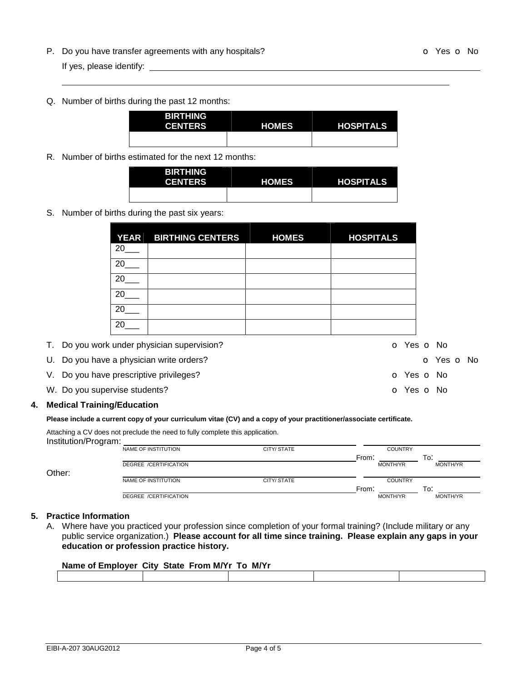- P. Do you have transfer agreements with any hospitals? The Contract of Contract Contract Contract October 100 Yes of No If yes, please identify:
- Q. Number of births during the past 12 months:

| <b>BIRTHING</b><br><b>CENTERS</b> | <b>HOMES</b> | <b>HOSPITALS</b> |
|-----------------------------------|--------------|------------------|
|                                   |              |                  |

R. Number of births estimated for the next 12 months:

| <b>BIRTHING</b><br><b>CENTERS</b> | <b>HOMES</b> | <b>HOSPITALS</b> |
|-----------------------------------|--------------|------------------|
|                                   |              |                  |

## S. Number of births during the past six years:

|                               | <b>YEAR</b> | <b>BIRTHING CENTERS</b>                     | <b>HOMES</b> | <b>HOSPITALS</b> |            |
|-------------------------------|-------------|---------------------------------------------|--------------|------------------|------------|
|                               | 20          |                                             |              |                  |            |
|                               | 20          |                                             |              |                  |            |
|                               | 20          |                                             |              |                  |            |
|                               | 20          |                                             |              |                  |            |
|                               | 20          |                                             |              |                  |            |
|                               | 20          |                                             |              |                  |            |
|                               |             | T. Do you work under physician supervision? |              |                  | o Yes o No |
|                               |             | U. Do you have a physician write orders?    |              | o Yes o No       |            |
|                               |             | V. Do you have prescriptive privileges?     |              | O Yes O No       |            |
| W. Do you supervise students? |             |                                             |              |                  | o Yes o No |
|                               |             |                                             |              |                  |            |

### **4. Medical Training/Education**

#### Please include a current copy of your curriculum vitae (CV) and a copy of your practitioner/associate certificate.

Attaching a CV does not preclude the need to fully complete this application.

| Institution/Program: |                              |            |                 |                 |
|----------------------|------------------------------|------------|-----------------|-----------------|
|                      | NAME OF INSTITUTION          | CITY/STATE | <b>COUNTRY</b>  |                 |
|                      |                              |            | From:           | To:             |
|                      | DEGREE /CERTIFICATION        |            | <b>MONTH/YR</b> | MONTH/YR        |
| Other:               |                              |            |                 |                 |
|                      | NAME OF INSTITUTION          | CITY/STATE | <b>COUNTRY</b>  |                 |
|                      |                              |            | From:           | To:             |
|                      | <b>DEGREE /CERTIFICATION</b> |            | <b>MONTH/YR</b> | <b>MONTH/YR</b> |
|                      |                              |            |                 |                 |

## **5. Practice Information**

A. Where have you practiced your profession since completion of your formal training? (Include military or any public service organization.) **Please account for all time since training. Please explain any gaps in your education or profession practice history.** 

| Name of Employer City State From M/Yr To M/Yr |  |  |
|-----------------------------------------------|--|--|
|                                               |  |  |